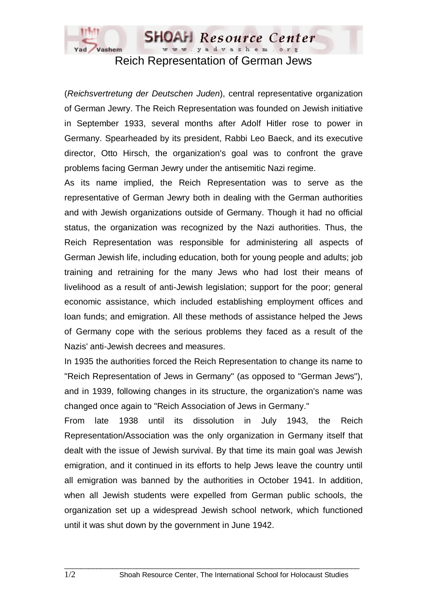

Reich Representation of German Jews

(*Reichsvertretung der Deutschen Juden*), central representative organization of German Jewry. The Reich Representation was founded on Jewish initiative in September 1933, several months after Adolf Hitler rose to power in Germany. Spearheaded by its president, Rabbi Leo Baeck, and its executive director, Otto Hirsch, the organization's goal was to confront the grave problems facing German Jewry under the antisemitic Nazi regime.

As its name implied, the Reich Representation was to serve as the representative of German Jewry both in dealing with the German authorities and with Jewish organizations outside of Germany. Though it had no official status, the organization was recognized by the Nazi authorities. Thus, the Reich Representation was responsible for administering all aspects of German Jewish life, including education, both for young people and adults; job training and retraining for the many Jews who had lost their means of livelihood as a result of anti-Jewish legislation; support for the poor; general economic assistance, which included establishing employment offices and loan funds; and emigration. All these methods of assistance helped the Jews of Germany cope with the serious problems they faced as a result of the Nazis' anti-Jewish decrees and measures.

In 1935 the authorities forced the Reich Representation to change its name to "Reich Representation of Jews in Germany" (as opposed to "German Jews"), and in 1939, following changes in its structure, the organization's name was changed once again to "Reich Association of Jews in Germany."

From late 1938 until its dissolution in July 1943, the Reich Representation/Association was the only organization in Germany itself that dealt with the issue of Jewish survival. By that time its main goal was Jewish emigration, and it continued in its efforts to help Jews leave the country until all emigration was banned by the authorities in October 1941. In addition, when all Jewish students were expelled from German public schools, the organization set up a widespread Jewish school network, which functioned until it was shut down by the government in June 1942.

 $\_$  ,  $\_$  ,  $\_$  ,  $\_$  ,  $\_$  ,  $\_$  ,  $\_$  ,  $\_$  ,  $\_$  ,  $\_$  ,  $\_$  ,  $\_$  ,  $\_$  ,  $\_$  ,  $\_$  ,  $\_$  ,  $\_$  ,  $\_$  ,  $\_$